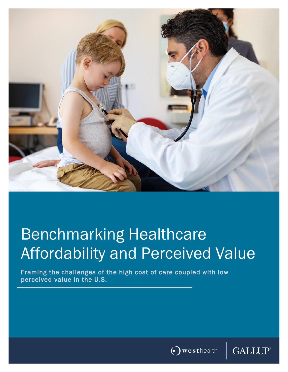

# Benchmarking Healthcare Affordability and Perceived Value

Framing the challenges of the high cost of care coupled with low perceived value in the U.S.



**GALLUP**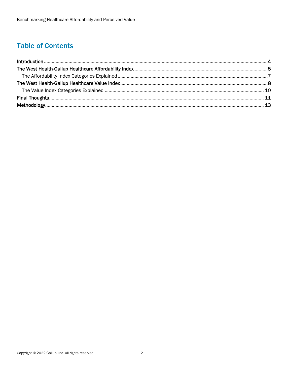# **Table of Contents**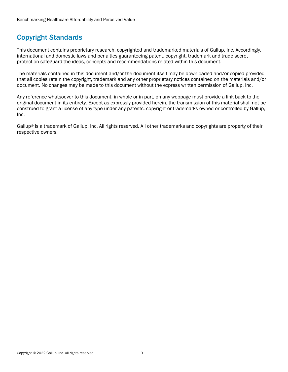## Copyright Standards

This document contains proprietary research, copyrighted and trademarked materials of Gallup, Inc. Accordingly, international and domestic laws and penalties guaranteeing patent, copyright, trademark and trade secret protection safeguard the ideas, concepts and recommendations related within this document.

The materials contained in this document and/or the document itself may be downloaded and/or copied provided that all copies retain the copyright, trademark and any other proprietary notices contained on the materials and/or document. No changes may be made to this document without the express written permission of Gallup, Inc.

Any reference whatsoever to this document, in whole or in part, on any webpage must provide a link back to the original document in its entirety. Except as expressly provided herein, the transmission of this material shall not be construed to grant a license of any type under any patents, copyright or trademarks owned or controlled by Gallup, Inc.

Gallup® is a trademark of Gallup, Inc. All rights reserved. All other trademarks and copyrights are property of their respective owners.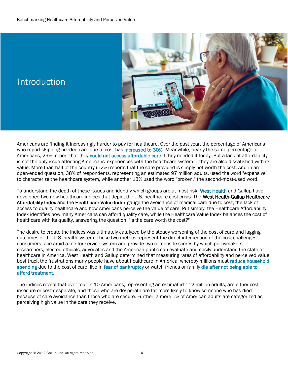

# **Introduction**

Americans are finding it increasingly harder to pay for healthcare. Over the past year, the percentage of Americans who report skipping needed care due to cost has *increased to 30%*. Meanwhile, nearly the same percentage of Americans, 29%, report that they [could not access affordable care](https://www.gallup.com/analytics/357932/healthcare-in-america-2021.aspx) if they needed it today. But a lack of affordability is not the only issue affecting Americans' experiences with the healthcare system — they are also dissatisfied with its value. More than half of the country (52%) reports that the care provided is simply not worth the cost. And in an open-ended question, 38% of respondents, representing an estimated 97 million adults, used the word "expensive" to characterize the healthcare system, while another 13% used the word "broken," the second-most-used word.

To understand the depth of these issues and identify which groups are at most risk, [West Health](https://www.westhealth.org/about-us/) and Gallup have developed two new healthcare indices that depict the U.S. healthcare cost crisis. The West Health-Gallup Healthcare Affordability Index and the Healthcare Value Index gauge the avoidance of medical care due to cost, the lack of access to quality healthcare and how Americans perceive the value of care. Put simply, the Healthcare Affordability Index identifies how many Americans can afford quality care, while the Healthcare Value Index balances the cost of healthcare with its quality, answering the question, "Is the care worth the cost?"

The desire to create the indices was ultimately catalyzed by the steady worsening of the cost of care and lagging outcomes of the U.S. health system. These two metrics represent the direct intersection of the cost challenges consumers face amid a fee-for-service system and provide two composite scores by which policymakers, researchers, elected officials, advocates and the American public can evaluate and easily understand the state of healthcare in America. West Health and Gallup determined that measuring rates of affordability and perceived value best track the frustrations many people have about healthcare in America, whereby millions must reduce household [spending](https://news.gallup.com/poll/342095/estimated-million-cannot-afford-needed-care.aspx) due to the cost of care, live i[n fear of bankruptcy](https://news.gallup.com/poll/317948/fear-bankruptcy-due-major-health-event.aspx) or watch friends or family die after not being able to [afford treatment.](https://news.gallup.com/poll/268094/millions-lost-someone-couldn-afford-treatment.aspx)

The indices reveal that over four in 10 Americans, representing an estimated 112 million adults, are either cost insecure or cost desperate, and those who are desperate are far more likely to know someone who has died because of care avoidance than those who are secure. Further, a mere 5% of American adults are categorized as perceiving high value in the care they receive.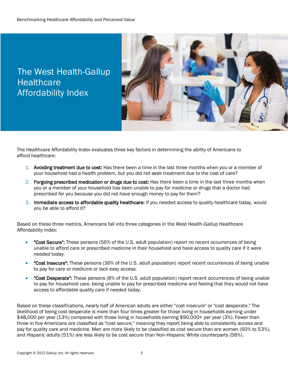# The West Health-Gallup **Healthcare** Affordability Index



The Healthcare Affordability Index evaluates three key factors in determining the ability of Americans to afford healthcare:

- 1. Avoiding treatment due to cost: Has there been a time in the last three months when you or a member of your household had a health problem, but you did not seek treatment due to the cost of care?
- 2. Forgoing prescribed medication or drugs due to cost: Has there been a time in the last three months when you or a member of your household has been unable to pay for medicine or drugs that a doctor had prescribed for you because you did not have enough money to pay for them?
- 3. Immediate access to affordable quality healthcare: If you needed access to quality healthcare today, would you be able to afford it?

Based on these three metrics, Americans fall into three categories in the West Health-Gallup Healthcare Affordability Index:

- "Cost Secure": These persons (56% of the U.S. adult population) report no recent occurrences of being unable to afford care or prescribed medicine in their household and have access to quality care if it were needed today.
- "Cost Insecure": These persons (36% of the U.S. adult population) report recent occurrences of being unable to pay for care or medicine or lack easy access.
- "Cost Desperate": These persons (8% of the U.S. adult population) report recent occurrences of being unable to pay for household care, being unable to pay for prescribed medicine and feeling that they would not have access to affordable quality care if needed today.

Based on these classifications, nearly half of American adults are either "cost insecure" or "cost desperate." The likelihood of being cost desperate is more than four times greater for those living in households earning under \$48,000 per year (13%) compared with those living in households earning \$90,000+ per year (3%). Fewer than three in five Americans are classified as "cost secure," meaning they report being able to consistently access and pay for quality care and medicine. Men are more likely to be classified as cost secure than are women (60% to 53%), and Hispanic adults (51%) are less likely to be cost secure than Non-Hispanic White counterparts (58%).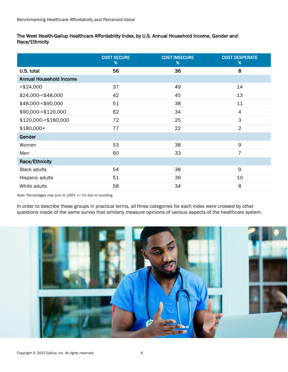#### The West Health-Gallup Healthcare Affordability Index, by U.S. Annual Household Income, Gender and Race/Ethnicity

|                                | <b>COST SECURE</b><br>% | <b>COST INSECURE</b><br>% | <b>COST DESPERATE</b><br>% |
|--------------------------------|-------------------------|---------------------------|----------------------------|
| U.S. total                     | 56                      | 36                        | 8                          |
| <b>Annual Household Income</b> |                         |                           |                            |
| $<$ \$24,000                   | 37                      | 49                        | 14                         |
| \$24,000-<\$48,000             | 42                      | 45                        | 13                         |
| \$48,000-<\$90,000             | 51                      | 38                        | 11                         |
| \$90,000-<\$120,000            | 62                      | 34                        | $\overline{4}$             |
| \$120,000 - < \$180,000        | 72                      | 25                        | 3                          |
| $$180,000+$                    | 77                      | 22                        | $\overline{2}$             |
| Gender                         |                         |                           |                            |
| Women                          | 53                      | 38                        | 9                          |
| Men                            | 60                      | 33                        | $\overline{7}$             |
| Race/Ethnicity                 |                         |                           |                            |
| <b>Black adults</b>            | 54                      | 38                        | 9                          |
| Hispanic adults                | 51                      | 39                        | 10                         |
| White adults                   | 58                      | 34                        | 8                          |

Note: Percentages may sum to 100% +/-1% due to rounding.

In order to describe these groups in practical terms, all three categories for each index were crossed by other questions inside of the same survey that similarly measure opinions of various aspects of the healthcare system.

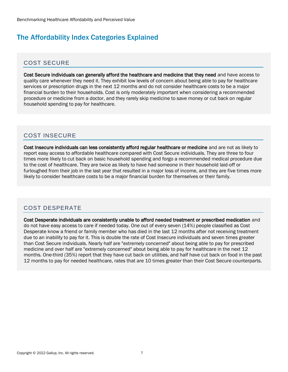### The Affordability Index Categories Explained

#### COST SECURE

Cost Secure individuals can generally afford the healthcare and medicine that they need and have access to quality care whenever they need it. They exhibit low levels of concern about being able to pay for healthcare services or prescription drugs in the next 12 months and do not consider healthcare costs to be a major financial burden to their households. Cost is only moderately important when considering a recommended procedure or medicine from a doctor, and they rarely skip medicine to save money or cut back on regular household spending to pay for healthcare.

#### COST INSECURE

Cost Insecure individuals can less consistently afford regular healthcare or medicine and are not as likely to report easy access to affordable healthcare compared with Cost Secure individuals. They are three to four times more likely to cut back on basic household spending and forgo a recommended medical procedure due to the cost of healthcare. They are twice as likely to have had someone in their household laid-off or furloughed from their job in the last year that resulted in a major loss of income, and they are five times more likely to consider healthcare costs to be a major financial burden for themselves or their family.

#### COST DESPERATE

Cost Desperate individuals are consistently unable to afford needed treatment or prescribed medication and do not have easy access to care if needed today. One out of every seven (14%) people classified as Cost Desperate know a friend or family member who has died in the last 12 months after not receiving treatment due to an inability to pay for it. This is double the rate of Cost Insecure individuals and seven times greater than Cost Secure individuals. Nearly half are "extremely concerned" about being able to pay for prescribed medicine and over half are "extremely concerned" about being able to pay for healthcare in the next 12 months. One-third (35%) report that they have cut back on utilities, and half have cut back on food in the past 12 months to pay for needed healthcare, rates that are 10 times greater than their Cost Secure counterparts.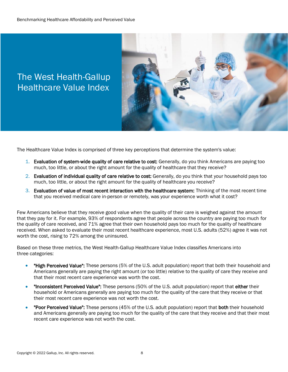# The West Health-Gallup Healthcare Value Index



The Healthcare Value Index is comprised of three key perceptions that determine the system's value:

- 1. Evaluation of system-wide quality of care relative to cost: Generally, do you think Americans are paying too much, too little, or about the right amount for the quality of healthcare that they receive?
- 2. Evaluation of individual quality of care relative to cost: Generally, do you think that your household pays too much, too little, or about the right amount for the quality of healthcare you receive?
- 3. Evaluation of value of most recent interaction with the healthcare system: Thinking of the most recent time that you received medical care in-person or remotely, was your experience worth what it cost?

Few Americans believe that they receive good value when the quality of their care is weighed against the amount that they pay for it. For example, 93% of respondents agree that people across the country are paying too much for the quality of care received, and 71% agree that their own household pays too much for the quality of healthcare received. When asked to evaluate their most recent healthcare experience, most U.S. adults (52%) agree it was not worth the cost, rising to 72% among the uninsured.

Based on these three metrics, the West Health-Gallup Healthcare Value Index classifies Americans into three categories:

- "High Perceived Value": These persons (5% of the U.S. adult population) report that both their household and Americans generally are paying the right amount (or too little) relative to the quality of care they receive and that their most recent care experience was worth the cost.
- "Inconsistent Perceived Value": These persons (50% of the U.S. adult population) report that either their household or Americans generally are paying too much for the quality of the care that they receive or that their most recent care experience was not worth the cost.
- "Poor Perceived Value": These persons (45% of the U.S. adult population) report that both their household and Americans generally are paying too much for the quality of the care that they receive and that their most recent care experience was not worth the cost.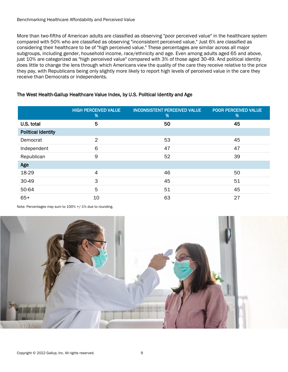More than two-fifths of American adults are classified as observing "poor perceived value" in the healthcare system compared with 50% who are classified as observing "inconsistent perceived value." Just 6% are classified as considering their healthcare to be of "high perceived value." These percentages are similar across all major subgroups, including gender, household income, race/ethnicity and age. Even among adults aged 65 and above, just 10% are categorized as "high perceived value" compared with 3% of those aged 30-49. And political identity does little to change the lens through which Americans view the quality of the care they receive relative to the price they pay, with Republicans being only slightly more likely to report high levels of perceived value in the care they receive than Democrats or independents.

#### The West Health-Gallup Healthcare Value Index, by U.S. Political Identity and Age

|                           | <b>HIGH PERCEIVED VALUE</b><br>% | <b>INCONSISTENT PERCEIVED VALUE</b><br>% | POOR PERCEIVED VALUE<br>% |
|---------------------------|----------------------------------|------------------------------------------|---------------------------|
| U.S. total                | 5                                | 50                                       | 45                        |
| <b>Political Identity</b> |                                  |                                          |                           |
| Democrat                  | $\overline{2}$                   | 53                                       | 45                        |
| Independent               | 6                                | 47                                       | 47                        |
| Republican                | 9                                | 52                                       | 39                        |
| Age                       |                                  |                                          |                           |
| 18-29                     | $\overline{4}$                   | 46                                       | 50                        |
| 30-49                     | 3                                | 45                                       | 51                        |
| 50-64                     | 5                                | 51                                       | 45                        |
| $65+$                     | 10                               | 63                                       | 27                        |

Note: Percentages may sum to 100% +/-1% due to rounding.

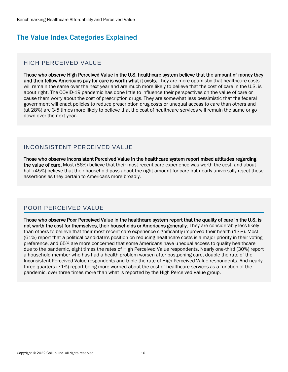## The Value Index Categories Explained

#### HIGH PERCEIVED VALUE

Those who observe High Perceived Value in the U.S. healthcare system believe that the amount of money they and their fellow Americans pay for care is worth what it costs. They are more optimistic that healthcare costs will remain the same over the next year and are much more likely to believe that the cost of care in the U.S. is about right. The COVID-19 pandemic has done little to influence their perspectives on the value of care or cause them worry about the cost of prescription drugs. They are somewhat less pessimistic that the federal government will enact policies to reduce prescription drug costs or unequal access to care than others and (at 28%) are 3-5 times more likely to believe that the cost of healthcare services will remain the same or go down over the next year.

#### INCONSISTENT PERCEIVED VALUE

Those who observe Inconsistent Perceived Value in the healthcare system report mixed attitudes regarding the value of care. Most (86%) believe that their most recent care experience was worth the cost, and about half (45%) believe that their household pays about the right amount for care but nearly universally reject these assertions as they pertain to Americans more broadly.

#### POOR PERCEIVED VALUE

Those who observe Poor Perceived Value in the healthcare system report that the quality of care in the U.S. is not worth the cost for themselves, their households or Americans generally. They are considerably less likely than others to believe that their most recent care experience significantly improved their health (13%). Most (61%) report that a political candidate's position on reducing healthcare costs is a major priority in their voting preference, and 65% are more concerned that some Americans have unequal access to quality healthcare due to the pandemic, eight times the rates of High Perceived Value respondents. Nearly one-third (30%) report a household member who has had a health problem worsen after postponing care, double the rate of the Inconsistent Perceived Value respondents and triple the rate of High Perceived Value respondents. And nearly three-quarters (71%) report being more worried about the cost of healthcare services as a function of the pandemic, over three times more than what is reported by the High Perceived Value group.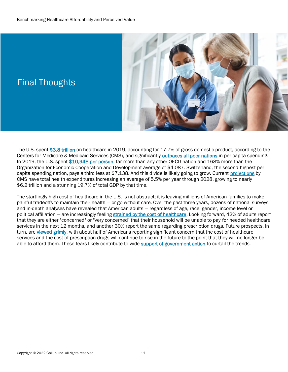Final Thoughts



#### The U.S. spen[t \\$3.8 trillion](https://www.cms.gov/Research-Statistics-Data-and-Systems/Statistics-Trends-and-Reports/NationalHealthExpendData/NationalHealthAccountsHistorical) on healthcare in 2019, accounting for 17.7% of gross domestic product, according to the Centers for Medicare & Medicaid Services (CMS), and significantly **outpaces all peer nations** in per-capita spending. In 2019, the U.S. spent [\\$10,948 per person,](https://www.oecd-ilibrary.org/sites/ae3016b9-en/1/3/7/2/index.html?itemId=/content/publication/ae3016b9-en&_csp_=ca413da5d44587bc56446341952c275e&itemIGO=oecd&itemContentType=book) far more than any other OECD nation and 168% more than the Organization for Economic Cooperation and Development average of \$4,087. Switzerland, the second-highest per capita spending nation, pays a third less at \$7,138. And this divide is likely going to grow. Current [projections](https://www.cms.gov/Research-Statistics-Data-and-Systems/Statistics-Trends-and-Reports/NationalHealthExpendData/NationalHealthAccountsProjected) by CMS have total health expenditures increasing an average of 5.5% per year through 2028, growing to nearly \$6.2 trillion and a stunning 19.7% of total GDP by that time.

The startlingly high cost of healthcare in the U.S. is not abstract; it is leaving millions of American families to make painful tradeoffs to maintain their health — or go without care. Over the past three years, dozens of national surveys and in-depth analyses have revealed that American adults — regardless of age, race, gender, income level or political affiliation - are increasingly feeling [strained by the cost of healthcare.](https://news.gallup.com/poll/357980/increased-avoidance-care-drugs-due-cost-amid-pandemic.aspx) Looking forward, 42% of adults report that they are either "concerned" or "very concerned" that their household will be unable to pay for needed healthcare services in the next 12 months, and another 30% report the same regarding prescription drugs. Future prospects, in turn, are [viewed grimly,](https://news.gallup.com/poll/349094/workers-stay-unwanted-job-health-benefits.aspx) with about half of Americans reporting significant concern that the cost of healthcare services and the cost of prescription drugs will continue to rise in the future to the point that they will no longer be able to afford them. These fears likely contribute to wid[e support of government action](https://news.gallup.com/poll/349094/workers-stay-unwanted-job-health-benefits.aspx) to curtail the trends.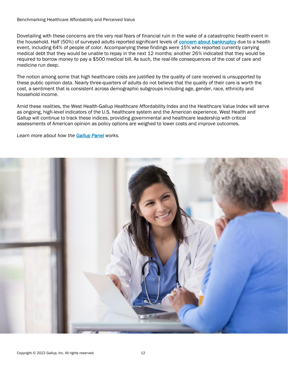Dovetailing with these concerns are the very real fears of financial ruin in the wake of a catastrophic health event in the household. Half (50%) of surveyed adults reported significant levels of [concern about bankruptcy](https://news.gallup.com/poll/317948/fear-bankruptcy-due-major-health-event.aspx) due to a health event, including 64% of people of color. Accompanying these findings were 15% who reported currently carrying medical debt that they would be unable to repay in the next 12 months; another 26% indicated that they would be required to borrow money to pay a \$500 medical bill. As such, the real-life consequences of the cost of care and medicine run deep.

The notion among some that high healthcare costs are justified by the quality of care received is unsupported by these public opinion data. Nearly three-quarters of adults do not believe that the quality of their care is worth the cost, a sentiment that is consistent across demographic subgroups including age, gender, race, ethnicity and household income.

Amid these realities, the West Health-Gallup Healthcare Affordability Index and the Healthcare Value Index will serve as ongoing, high-level indicators of the U.S. healthcare system and the American experience. West Health and Gallup will continue to track these indices, providing governmental and healthcare leadership with critical assessments of American opinion as policy options are weighed to lower costs and improve outcomes.

*Learn more about how the [Gallup Panel](https://www.gallup.com/174158/gallup-panel-methodology.aspx) works.*